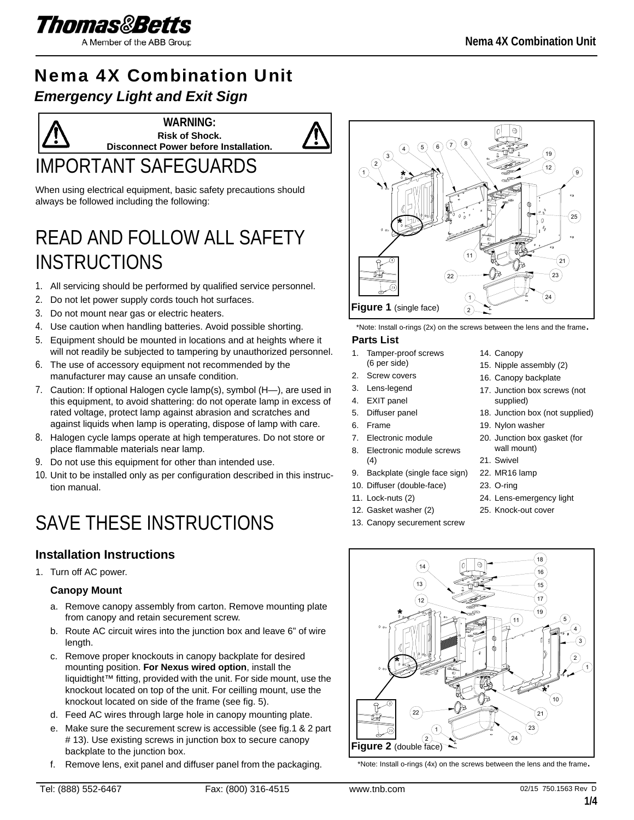

A Member of the ABB Group

## Nema 4X Combination Unit *Emergency Light and Exit Sign*

IMPORTANT SAFEGUARDS **WARNING: Risk of Shock. Disconnect Power before Installation.**

When using electrical equipment, basic safety precautions should always be followed including the following:

## READ AND FOLLOW ALL SAFETY INSTRUCTIONS

- 1. All servicing should be performed by qualified service personnel.
- 2. Do not let power supply cords touch hot surfaces.
- 3. Do not mount near gas or electric heaters.
- 4. Use caution when handling batteries. Avoid possible shorting.
- 5. Equipment should be mounted in locations and at heights where it will not readily be subjected to tampering by unauthorized personnel.
- 6. The use of accessory equipment not recommended by the manufacturer may cause an unsafe condition.
- 7. Caution: If optional Halogen cycle lamp(s), symbol (H—), are used in this equipment, to avoid shattering: do not operate lamp in excess of rated voltage, protect lamp against abrasion and scratches and against liquids when lamp is operating, dispose of lamp with care.
- 8. Halogen cycle lamps operate at high temperatures. Do not store or place flammable materials near lamp.
- 9. Do not use this equipment for other than intended use.
- 10. Unit to be installed only as per configuration described in this instruction manual.

# SAVE THESE INSTRUCTIONS

## **Installation Instructions**

1. Turn off AC power.

#### **Canopy Mount**

- a. Remove canopy assembly from carton. Remove mounting plate from canopy and retain securement screw.
- b. Route AC circuit wires into the junction box and leave 6" of wire length.
- c. Remove proper knockouts in canopy backplate for desired mounting position. **For Nexus wired option**, install the liquidtight™ fitting, provided with the unit. For side mount, use the knockout located on top of the unit. For ceilling mount, use the knockout located on side of the frame (see fig. 5).
- d. Feed AC wires through large hole in canopy mounting plate.
- e. Make sure the securement screw is accessible (see fig.1 & 2 part # 13). Use existing screws in junction box to secure canopy backplate to the junction box.
- f. Remove lens, exit panel and diffuser panel from the packaging.



\*Note: Install o-rings (2x) on the screws between the lens and the frame.

#### **Parts List**

- 1. Tamper-proof screws (6 per side)
- 2. Screw covers
- 3. Lens-legend
- 4. EXIT panel
- 5. Diffuser panel
- 6. Frame
- 7. Electronic module
- 8. Electronic module screws
- (4)
- 9. Backplate (single face sign)
- 10. Diffuser (double-face)
- 11. Lock-nuts (2)
- 12. Gasket washer (2)
- 13. Canopy securement screw
- 14. Canopy
- 15. Nipple assembly (2)
- 16. Canopy backplate
- 17. Junction box screws (not supplied)
- 18. Junction box (not supplied)
- 19. Nylon washer
- 20. Junction box gasket (for wall mount)
- 21. Swivel
- 22. MR16 lamp
- 23. O-ring
- 24. Lens-emergency light
- 25. Knock-out cover



\*Note: Install o-rings (4x) on the screws between the lens and the frame.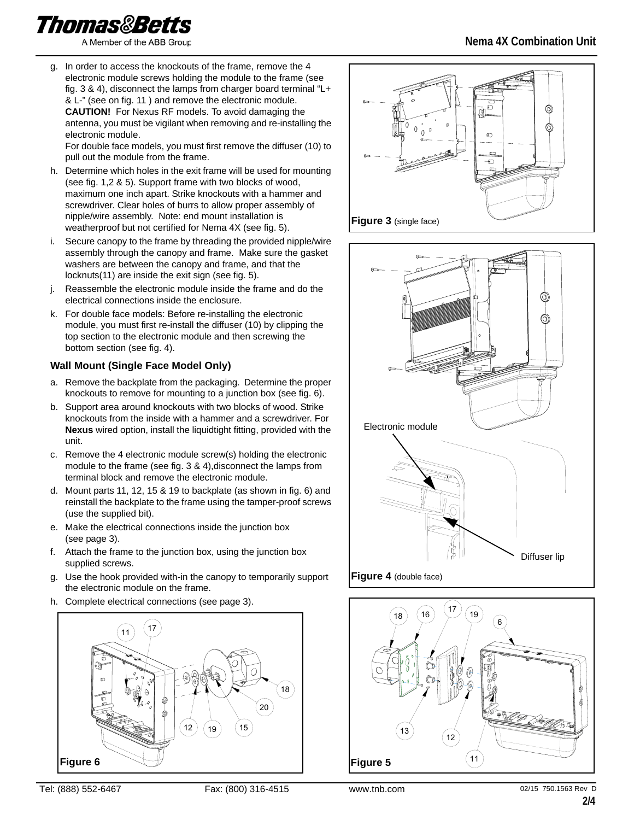Thomas&Betts

A Member of the ABB Group

**Nema 4X Combination Unit**

g. In order to access the knockouts of the frame, remove the 4 electronic module screws holding the module to the frame (see fig. 3 & 4), disconnect the lamps from charger board terminal "L+ & L-" (see on fig. 11 ) and remove the electronic module. **CAUTION!** For Nexus RF models. To avoid damaging the antenna, you must be vigilant when removing and re-installing the electronic module.

For double face models, you must first remove the diffuser (10) to pull out the module from the frame.

- h. Determine which holes in the exit frame will be used for mounting (see fig. 1,2 & 5). Support frame with two blocks of wood, maximum one inch apart. Strike knockouts with a hammer and screwdriver. Clear holes of burrs to allow proper assembly of nipple/wire assembly. Note: end mount installation is weatherproof but not certified for Nema 4X (see fig. 5).
- i. Secure canopy to the frame by threading the provided nipple/wire assembly through the canopy and frame. Make sure the gasket washers are between the canopy and frame, and that the locknuts(11) are inside the exit sign (see fig. 5).
- j. Reassemble the electronic module inside the frame and do the electrical connections inside the enclosure.
- k. For double face models: Before re-installing the electronic module, you must first re-install the diffuser (10) by clipping the top section to the electronic module and then screwing the bottom section (see fig. 4).

### **Wall Mount (Single Face Model Only)**

- a. Remove the backplate from the packaging. Determine the proper knockouts to remove for mounting to a junction box (see fig. 6).
- b. Support area around knockouts with two blocks of wood. Strike knockouts from the inside with a hammer and a screwdriver. For **Nexus** wired option, install the liquidtight fitting, provided with the unit.
- c. Remove the 4 electronic module screw(s) holding the electronic module to the frame (see fig. 3 & 4),disconnect the lamps from terminal block and remove the electronic module.
- d. Mount parts 11, 12, 15 & 19 to backplate (as shown in fig. 6) and reinstall the backplate to the frame using the tamper-proof screws (use the supplied bit).
- e. Make the electrical connections inside the junction box (see page 3).
- f. Attach the frame to the junction box, using the junction box supplied screws.
- g. Use the hook provided with-in the canopy to temporarily support the electronic module on the frame.
- h. Complete electrical connections (see page 3).







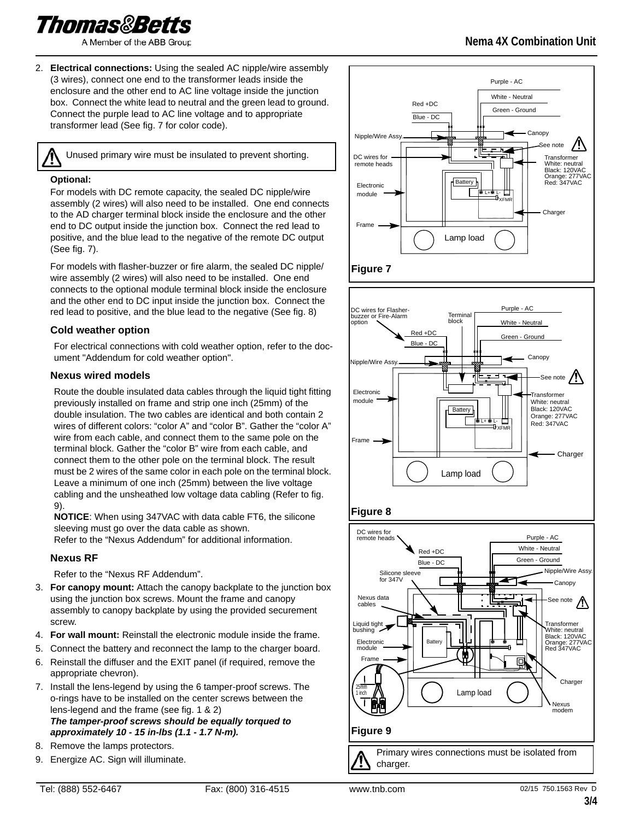Thomas&Betts

A Member of the ABB Group

2. **Electrical connections:** Using the sealed AC nipple/wire assembly (3 wires), connect one end to the transformer leads inside the enclosure and the other end to AC line voltage inside the junction box. Connect the white lead to neutral and the green lead to ground. Connect the purple lead to AC line voltage and to appropriate transformer lead (See fig. 7 for color code).

Unused primary wire must be insulated to prevent shorting.

#### **Optional:**

For models with DC remote capacity, the sealed DC nipple/wire assembly (2 wires) will also need to be installed. One end connects to the AD charger terminal block inside the enclosure and the other end to DC output inside the junction box. Connect the red lead to positive, and the blue lead to the negative of the remote DC output (See fig. 7).

For models with flasher-buzzer or fire alarm, the sealed DC nipple/ wire assembly (2 wires) will also need to be installed. One end connects to the optional module terminal block inside the enclosure and the other end to DC input inside the junction box. Connect the red lead to positive, and the blue lead to the negative (See fig. 8)

#### **Cold weather option**

For electrical connections with cold weather option, refer to the document "Addendum for cold weather option".

#### **Nexus wired models**

Route the double insulated data cables through the liquid tight fitting previously installed on frame and strip one inch (25mm) of the double insulation. The two cables are identical and both contain 2 wires of different colors: "color A" and "color B". Gather the "color A" wire from each cable, and connect them to the same pole on the terminal block. Gather the "color B" wire from each cable, and connect them to the other pole on the terminal block. The result must be 2 wires of the same color in each pole on the terminal block. Leave a minimum of one inch (25mm) between the live voltage cabling and the unsheathed low voltage data cabling (Refer to fig. 9).

**NOTICE**: When using 347VAC with data cable FT6, the silicone sleeving must go over the data cable as shown.

Refer to the "Nexus Addendum" for additional information.

#### **Nexus RF**

Refer to the "Nexus RF Addendum".

- 3. **For canopy mount:** Attach the canopy backplate to the junction box using the junction box screws. Mount the frame and canopy assembly to canopy backplate by using the provided securement screw.
- 4. **For wall mount:** Reinstall the electronic module inside the frame.
- 5. Connect the battery and reconnect the lamp to the charger board.
- 6. Reinstall the diffuser and the EXIT panel (if required, remove the appropriate chevron).
- 7. Install the lens-legend by using the 6 tamper-proof screws. The o-rings have to be installed on the center screws between the lens-legend and the frame (see fig. 1 & 2) *The tamper-proof screws should be equally torqued to approximately 10 - 15 in-lbs (1.1 - 1.7 N-m).*
- 8. Remove the lamps protectors.
- 9. Energize AC. Sign will illuminate.









## **Nema 4X Combination Unit**